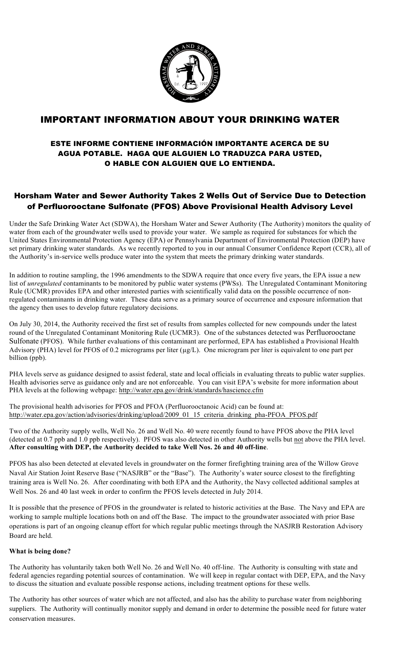

# IMPORTANT INFORMATION ABOUT YOUR DRINKING WATER

### ESTE INFORME CONTIENE INFORMACIÓN IMPORTANTE ACERCA DE SU AGUA POTABLE. HAGA QUE ALGUIEN LO TRADUZCA PARA USTED, O HABLE CON ALGUIEN QUE LO ENTIENDA.

# Horsham Water and Sewer Authority Takes 2 Wells Out of Service Due to Detection of Perfluorooctane Sulfonate (PFOS) Above Provisional Health Advisory Level

Under the Safe Drinking Water Act (SDWA), the Horsham Water and Sewer Authority (The Authority) monitors the quality of water from each of the groundwater wells used to provide your water. We sample as required for substances for which the United States Environmental Protection Agency (EPA) or Pennsylvania Department of Environmental Protection (DEP) have set primary drinking water standards. As we recently reported to you in our annual Consumer Confidence Report (CCR), all of the Authority's in-service wells produce water into the system that meets the primary drinking water standards.

In addition to routine sampling, the 1996 amendments to the SDWA require that once every five years, the EPA issue a new list of *unregulated* contaminants to be monitored by public water systems (PWSs). The Unregulated Contaminant Monitoring Rule (UCMR) provides EPA and other interested parties with scientifically valid data on the possible occurrence of nonregulated contaminants in drinking water. These data serve as a primary source of occurrence and exposure information that the agency then uses to develop future regulatory decisions.

On July 30, 2014, the Authority received the first set of results from samples collected for new compounds under the latest round of the Unregulated Contaminant Monitoring Rule (UCMR3). One of the substances detected was Perfluorooctane Sulfonate (PFOS). While further evaluations of this contaminant are performed, EPA has established a Provisional Health Advisory (PHA) level for PFOS of 0.2 micrograms per liter  $(\mu g/L)$ . One microgram per liter is equivalent to one part per billion (ppb).

PHA levels serve as guidance designed to assist federal, state and local officials in evaluating threats to public water supplies. Health advisories serve as guidance only and are not enforceable. You can visit EPA's website for more information about PHA levels at the following webpage: http://water.epa.gov/drink/standards/hascience.cfm

The provisional health advisories for PFOS and PFOA (Perfluorooctanoic Acid) can be found at: http://water.epa.gov/action/advisories/drinking/upload/2009\_01\_15\_criteria\_drinking\_pha-PFOA\_PFOS.pdf

Two of the Authority supply wells, Well No. 26 and Well No. 40 were recently found to have PFOS above the PHA level (detected at 0.7 ppb and 1.0 ppb respectively). PFOS was also detected in other Authority wells but not above the PHA level. **After consulting with DEP, the Authority decided to take Well Nos. 26 and 40 off-line**.

PFOS has also been detected at elevated levels in groundwater on the former firefighting training area of the Willow Grove Naval Air Station Joint Reserve Base ("NASJRB" or the "Base"). The Authority's water source closest to the firefighting training area is Well No. 26. After coordinating with both EPA and the Authority, the Navy collected additional samples at Well Nos. 26 and 40 last week in order to confirm the PFOS levels detected in July 2014.

It is possible that the presence of PFOS in the groundwater is related to historic activities at the Base. The Navy and EPA are working to sample multiple locations both on and off the Base. The impact to the groundwater associated with prior Base operations is part of an ongoing cleanup effort for which regular public meetings through the NASJRB Restoration Advisory Board are held.

#### **What is being done?**

The Authority has voluntarily taken both Well No. 26 and Well No. 40 off-line. The Authority is consulting with state and federal agencies regarding potential sources of contamination. We will keep in regular contact with DEP, EPA, and the Navy to discuss the situation and evaluate possible response actions, including treatment options for these wells.

The Authority has other sources of water which are not affected, and also has the ability to purchase water from neighboring suppliers. The Authority will continually monitor supply and demand in order to determine the possible need for future water conservation measures.